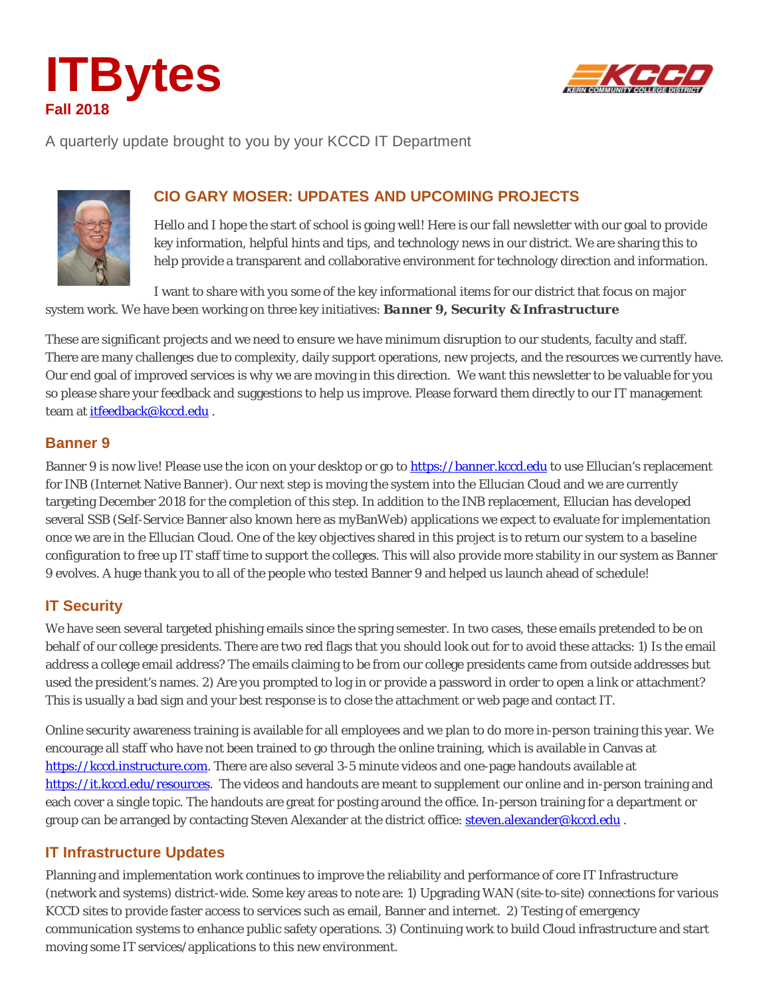



A quarterly update brought to you by your KCCD IT Department



# **CIO GARY MOSER: UPDATES AND UPCOMING PROJECTS**

Hello and I hope the start of school is going well! Here is our fall newsletter with our goal to provide key information, helpful hints and tips, and technology news in our district. We are sharing this to help provide a transparent and collaborative environment for technology direction and information.

I want to share with you some of the key informational items for our district that focus on major system work. We have been working on three key initiatives: *Banner 9, Security & Infrastructure*

These are significant projects and we need to ensure we have minimum disruption to our students, faculty and staff. There are many challenges due to complexity, daily support operations, new projects, and the resources we currently have. Our end goal of improved services is why we are moving in this direction. We want this newsletter to be valuable for you *so please* share your feedback and suggestions to help us improve. Please forward them directly to our IT management team at [itfeedback@kccd.edu](mailto:itfeedback@kccd.edu) .

## **Banner 9**

Banner 9 is now live! Please use the icon on your desktop or go to [https://banner.kccd.edu](https://banner.kccd.edu/) to use Ellucian's replacement for INB (Internet Native Banner). Our next step is moving the system into the Ellucian Cloud and we are currently targeting December 2018 for the completion of this step. In addition to the INB replacement, Ellucian has developed several SSB (Self-Service Banner also known here as myBanWeb) applications we expect to evaluate for implementation once we are in the Ellucian Cloud. One of the key objectives shared in this project is to return our system to a baseline configuration to free up IT staff time to support the colleges. This will also provide more stability in our system as Banner 9 evolves. A huge thank you to all of the people who tested Banner 9 and helped us launch ahead of schedule!

# **IT Security**

We have seen several targeted phishing emails since the spring semester. In two cases, these emails pretended to be on behalf of our college presidents. There are two red flags that you should look out for to avoid these attacks: 1) Is the email address a college email address? The emails claiming to be from our college presidents came from outside addresses but used the president's names. 2) Are you prompted to log in or provide a password in order to open a link or attachment? This is usually a bad sign and your best response is to close the attachment or web page and contact IT.

Online security awareness training is available for all employees and we plan to do more in-person training this year. We encourage all staff who have not been trained to go through the online training, which is available in Canvas at [https://kccd.instructure.com.](https://kccd.instructure.com/) There are also several 3-5 minute videos and one-page handouts available at [https://it.kccd.edu/resources.](https://it.kccd.edu/resources) The videos and handouts are meant to supplement our online and in-person training and each cover a single topic. The handouts are great for posting around the office. In-person training for a department or group can be arranged by contacting Steven Alexander at the district office: [steven.alexander@kccd.edu](mailto:steven.alexander@kccd.edu) .

## **IT Infrastructure Updates**

Planning and implementation work continues to improve the reliability and performance of core IT Infrastructure (network and systems) district-wide. Some key areas to note are: 1) Upgrading WAN (site-to-site) connections for various KCCD sites to provide faster access to services such as email, Banner and internet. 2) Testing of emergency communication systems to enhance public safety operations. 3) Continuing work to build Cloud infrastructure and start moving some IT services/applications to this new environment.